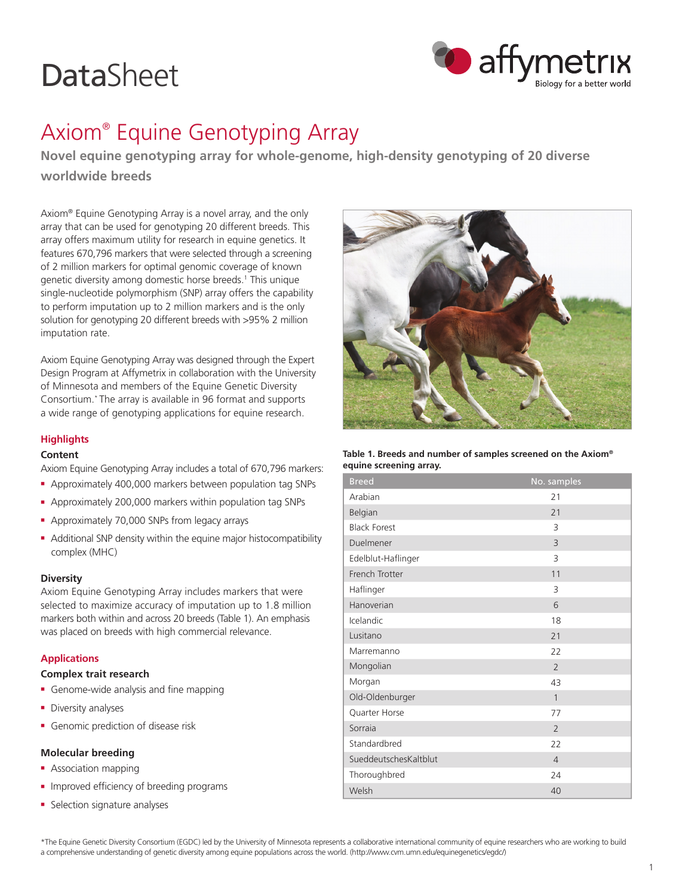# **DataSheet**



## Axiom® Equine Genotyping Array

**Novel equine genotyping array for whole-genome, high-density genotyping of 20 diverse worldwide breeds**

Axiom® Equine Genotyping Array is a novel array, and the only array that can be used for genotyping 20 different breeds. This array offers maximum utility for research in equine genetics. It features 670,796 markers that were selected through a screening of 2 million markers for optimal genomic coverage of known genetic diversity among domestic horse breeds.<sup>1</sup> This unique single-nucleotide polymorphism (SNP) array offers the capability to perform imputation up to 2 million markers and is the only solution for genotyping 20 different breeds with >95% 2 million imputation rate.

Axiom Equine Genotyping Array was designed through the Expert Design Program at Affymetrix in collaboration with the University of Minnesota and members of the Equine Genetic Diversity Consortium.\* The array is available in 96 format and supports a wide range of genotyping applications for equine research.

### **Highlights**

#### **Content**

Axiom Equine Genotyping Array includes a total of 670,796 markers:

- <sup>n</sup> Approximately 400,000 markers between population tag SNPs
- <sup>n</sup> Approximately 200,000 markers within population tag SNPs
- <sup>n</sup> Approximately 70,000 SNPs from legacy arrays
- Additional SNP density within the equine major histocompatibility complex (MHC)

#### **Diversity**

Axiom Equine Genotyping Array includes markers that were selected to maximize accuracy of imputation up to 1.8 million markers both within and across 20 breeds (Table 1). An emphasis was placed on breeds with high commercial relevance.

#### **Applications**

#### **Complex trait research**

- **Genome-wide analysis and fine mapping**
- Diversity analyses
- **Genomic prediction of disease risk**

#### **Molecular breeding**

- **Association mapping**
- Improved efficiency of breeding programs
- Selection signature analyses



**Table 1. Breeds and number of samples screened on the Axiom® equine screening array.**

| <b>Breed</b>          | No. samples    |
|-----------------------|----------------|
| Arabian               | 21             |
| Belgian               | 21             |
| <b>Black Forest</b>   | 3              |
| Duelmener             | $\overline{3}$ |
| Edelblut-Haflinger    | 3              |
| French Trotter        | 11             |
| Haflinger             | 3              |
| Hanoverian            | 6              |
| Icelandic             | 18             |
| Lusitano              | 21             |
| Marremanno            | 22             |
| Mongolian             | $\overline{2}$ |
| Morgan                | 43             |
| Old-Oldenburger       | 1              |
| Quarter Horse         | 77             |
| Sorraia               | $\mathcal{P}$  |
| Standardbred          | 22             |
| SueddeutschesKaltblut | $\overline{4}$ |
| Thoroughbred          | 24             |
| Welsh                 | 40             |

\*The Equine Genetic Diversity Consortium (EGDC) led by the University of Minnesota represents a collaborative international community of equine researchers who are working to build a comprehensive understanding of genetic diversity among equine populations across the world. (http://www.cvm.umn.edu/equinegenetics/egdc/)